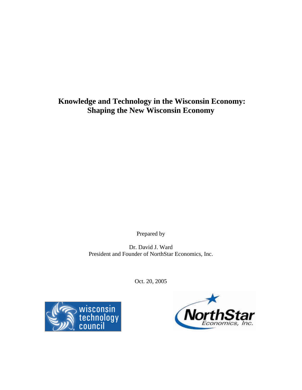**Knowledge and Technology in the Wisconsin Economy: Shaping the New Wisconsin Economy** 

Prepared by

Dr. David J. Ward President and Founder of NorthStar Economics, Inc.

Oct. 20, 2005



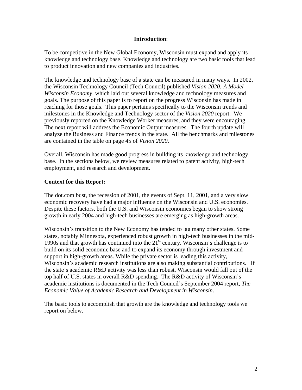#### **Introduction**:

To be competitive in the New Global Economy, Wisconsin must expand and apply its knowledge and technology base. Knowledge and technology are two basic tools that lead to product innovation and new companies and industries.

The knowledge and technology base of a state can be measured in many ways. In 2002, the Wisconsin Technology Council (Tech Council) published *Vision 2020: A Model Wisconsin Economy,* which laid out several knowledge and technology measures and goals. The purpose of this paper is to report on the progress Wisconsin has made in reaching for those goals. This paper pertains specifically to the Wisconsin trends and milestones in the Knowledge and Technology sector of the *Vision 2020* report. We previously reported on the Knowledge Worker measures, and they were encouraging. The next report will address the Economic Output measures. The fourth update will analyze the Business and Finance trends in the state. All the benchmarks and milestones are contained in the table on page 45 of *Vision 2020*.

Overall, Wisconsin has made good progress in building its knowledge and technology base. In the sections below, we review measures related to patent activity, high-tech employment, and research and development.

### **Context for this Report:**

The dot.com bust, the recession of 2001, the events of Sept. 11, 2001, and a very slow economic recovery have had a major influence on the Wisconsin and U.S. economies. Despite these factors, both the U.S. and Wisconsin economies began to show strong growth in early 2004 and high-tech businesses are emerging as high-growth areas.

Wisconsin's transition to the New Economy has tended to lag many other states. Some states, notably Minnesota, experienced robust growth in high-tech businesses in the mid-1990s and that growth has continued into the  $21<sup>st</sup>$  century. Wisconsin's challenge is to build on its solid economic base and to expand its economy through investment and support in high-growth areas. While the private sector is leading this activity, Wisconsin's academic research institutions are also making substantial contributions. If the state's academic R&D activity was less than robust, Wisconsin would fall out of the top half of U.S. states in overall R&D spending. The R&D activity of Wisconsin's academic institutions is documented in the Tech Council's September 2004 report, *The Economic Value of Academic Research and Development in Wisconsin*.

The basic tools to accomplish that growth are the knowledge and technology tools we report on below.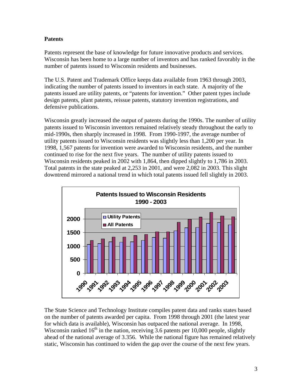# **Patents**

Patents represent the base of knowledge for future innovative products and services. Wisconsin has been home to a large number of inventors and has ranked favorably in the number of patents issued to Wisconsin residents and businesses.

The U.S. Patent and Trademark Office keeps data available from 1963 through 2003, indicating the number of patents issued to inventors in each state. A majority of the patents issued are utility patents, or "patents for invention." Other patent types include design patents, plant patents, reissue patents, statutory invention registrations, and defensive publications.

Wisconsin greatly increased the output of patents during the 1990s. The number of utility patents issued to Wisconsin inventors remained relatively steady throughout the early to mid-1990s, then sharply increased in 1998. From 1990-1997, the average number of utility patents issued to Wisconsin residents was slightly less than 1,200 per year. In 1998, 1,567 patents for invention were awarded to Wisconsin residents, and the number continued to rise for the next five years. The number of utility patents issued to Wisconsin residents peaked in 2002 with 1,864, then dipped slightly to 1,786 in 2003. Total patents in the state peaked at 2,253 in 2001, and were 2,082 in 2003. This slight downtrend mirrored a national trend in which total patents issued fell slightly in 2003.



The State Science and Technology Institute compiles patent data and ranks states based on the number of patents awarded per capita. From 1998 through 2001 (the latest year for which data is available), Wisconsin has outpaced the national average. In 1998, Wisconsin ranked  $16<sup>th</sup>$  in the nation, receiving 3.6 patents per 10,000 people, slightly ahead of the national average of 3.356. While the national figure has remained relatively static, Wisconsin has continued to widen the gap over the course of the next few years.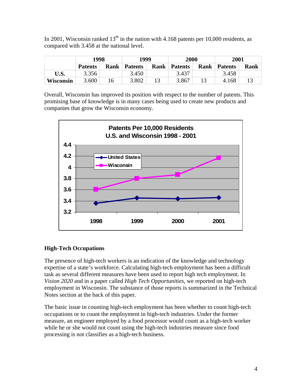In 2001, Wisconsin ranked  $13<sup>th</sup>$  in the nation with 4.168 patents per 10,000 residents, as compared with 3.458 at the national level.

|           | 1998           |             | 1999           |      | 2000           |             | 2001           |      |
|-----------|----------------|-------------|----------------|------|----------------|-------------|----------------|------|
|           | <b>Patents</b> | <b>Rank</b> | <b>Patents</b> | Rank | <b>Patents</b> | <b>Rank</b> | <b>Patents</b> | Rank |
| U.S.      | 3.356          |             | 3.450          |      | 3.437          |             | 3.458          |      |
| Wisconsin | 3.600          | .6          | 3.802          |      | 3.867          |             | 4.168          |      |

Overall, Wisconsin has improved its position with respect to the number of patents. This promising base of knowledge is in many cases being used to create new products and companies that grow the Wisconsin economy.



# **High-Tech Occupations**

The presence of high-tech workers is an indication of the knowledge and technology expertise of a state's workforce. Calculating high-tech employment has been a difficult task as several different measures have been used to report high tech employment. In *Vision 2020* and in a paper called *High Tech Opportunities*, we reported on high-tech employment in Wisconsin. The substance of those reports is summarized in the Technical Notes section at the back of this paper.

The basic issue in counting high-tech employment has been whether to count high-tech occupations or to count the employment in high-tech industries. Under the former measure, an engineer employed by a food processor would count as a high-tech worker while he or she would not count using the high-tech industries measure since food processing is not classifies as a high-tech business.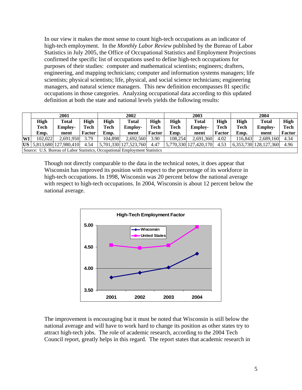In our view it makes the most sense to count high-tech occupations as an indicator of high-tech employment. In the *Monthly Labor Review* published by the Bureau of Labor Statistics in July 2005, the Office of Occupational Statistics and Employment Projections confirmed the specific list of occupations used to define high-tech occupations for purposes of their studies: computer and mathematical scientists; engineers; drafters, engineering, and mapping technicians; computer and information systems managers; life scientists; physical scientists; life, physical, and social science technicians; engineering managers, and natural science managers. This new definition encompasses 81 specific occupations in those categories. Analyzing occupational data according to this updated definition at both the state and national levels yields the following results:

|    | 2001                                                                        |                                     |        | 2002    |                       |             | 2003     |                       |               | 2004   |                       |               |
|----|-----------------------------------------------------------------------------|-------------------------------------|--------|---------|-----------------------|-------------|----------|-----------------------|---------------|--------|-----------------------|---------------|
|    | High                                                                        | Total                               | High   | High    | Total                 | High        | High     | <b>Total</b>          | High          | High   | <b>Total</b>          | <b>High</b>   |
|    | Tech                                                                        | <b>Employ-</b>                      | Tech   | Tech    | <b>Employ-</b>        | <b>Tech</b> | Tech     | <b>Employ-</b>        | <b>Tech</b>   | Tech   | <b>Employ-</b>        | Tech          |
|    | Emp.                                                                        | ment                                | Factor | Emp.    | ment                  | Factor      | Emp.     | ment                  | <b>Factor</b> | Emp.   | ment                  | <b>Factor</b> |
| WI | 102.022                                                                     | 2.691.950                           | 3.79   | 104.898 | 2.692.560             | 3.90        | 108.2541 | 2.691.360             | 4.02          | 16.843 | 2.689.160             | 4.34          |
|    |                                                                             | $\textbf{US}$ 5,813,680 127,980,410 | 4.54   |         | 5,701,330 127,523,760 | 4.47        |          | 5,770,330 127,420,170 | 4.53          |        | 6.353.730 128.127.360 | 4.96          |
|    | Source: U.S. Bureau of Labor Statistics, Occupational Employment Statistics |                                     |        |         |                       |             |          |                       |               |        |                       |               |

Though not directly comparable to the data in the technical notes, it does appear that Wisconsin has improved its position with respect to the percentage of its workforce in high-tech occupations. In 1998, Wisconsin was 20 percent below the national average with respect to high-tech occupations. In 2004, Wisconsin is about 12 percent below the national average.



The improvement is encouraging but it must be noted that Wisconsin is still below the national average and will have to work hard to change its position as other states try to attract high-tech jobs. The role of academic research, according to the 2004 Tech Council report, greatly helps in this regard. The report states that academic research in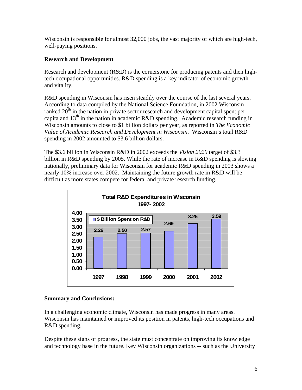Wisconsin is responsible for almost 32,000 jobs, the vast majority of which are high-tech, well-paying positions.

# **Research and Development**

Research and development (R&D) is the cornerstone for producing patents and then hightech occupational opportunities. R&D spending is a key indicator of economic growth and vitality.

R&D spending in Wisconsin has risen steadily over the course of the last several years. According to data compiled by the National Science Foundation, in 2002 Wisconsin ranked  $20<sup>th</sup>$  in the nation in private sector research and development capital spent per capita and  $13<sup>th</sup>$  in the nation in academic R&D spending. Academic research funding in Wisconsin amounts to close to \$1 billion dollars per year, as reported in *The Economic Value of Academic Research and Development in Wisconsin*. Wisconsin's total R&D spending in 2002 amounted to \$3.6 billion dollars.

The \$3.6 billion in Wisconsin R&D in 2002 exceeds the *Vision 2020* target of \$3.3 billion in R&D spending by 2005. While the rate of increase in R&D spending is slowing nationally, preliminary data for Wisconsin for academic R&D spending in 2003 shows a nearly 10% increase over 2002. Maintaining the future growth rate in R&D will be difficult as more states compete for federal and private research funding.



#### **Summary and Conclusions:**

In a challenging economic climate, Wisconsin has made progress in many areas. Wisconsin has maintained or improved its position in patents, high-tech occupations and R&D spending.

Despite these signs of progress, the state must concentrate on improving its knowledge and technology base in the future. Key Wisconsin organizations -- such as the University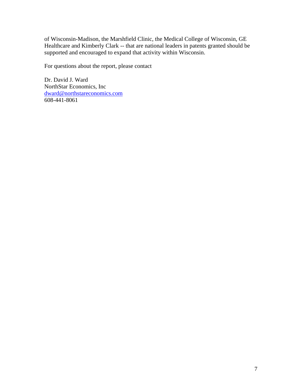of Wisconsin-Madison, the Marshfield Clinic, the Medical College of Wisconsin, GE Healthcare and Kimberly Clark -- that are national leaders in patents granted should be supported and encouraged to expand that activity within Wisconsin.

For questions about the report, please contact

Dr. David J. Ward NorthStar Economics, Inc dward@northstareconomics.com 608-441-8061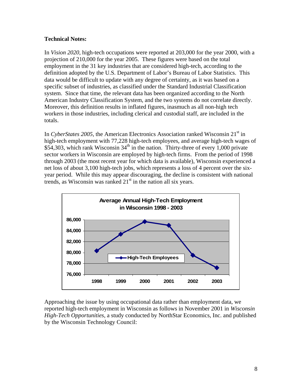### **Technical Notes:**

In *Vision 2020*, high-tech occupations were reported at 203,000 for the year 2000, with a projection of 210,000 for the year 2005. These figures were based on the total employment in the 31 key industries that are considered high-tech, according to the definition adopted by the U.S. Department of Labor's Bureau of Labor Statistics. This data would be difficult to update with any degree of certainty, as it was based on a specific subset of industries, as classified under the Standard Industrial Classification system. Since that time, the relevant data has been organized according to the North American Industry Classification System, and the two systems do not correlate directly. Moreover, this definition results in inflated figures, inasmuch as all non-high tech workers in those industries, including clerical and custodial staff, are included in the totals.

In *CyberStates 2005*, the American Electronics Association ranked Wisconsin 21<sup>st</sup> in high-tech employment with 77,228 high-tech employees, and average high-tech wages of \$54,303, which rank Wisconsin  $34<sup>th</sup>$  in the nation. Thirty-three of every 1,000 private sector workers in Wisconsin are employed by high-tech firms. From the period of 1998 through 2003 (the most recent year for which data is available), Wisconsin experienced a net loss of about 3,100 high-tech jobs, which represents a loss of 4 percent over the sixyear period. While this may appear discouraging, the decline is consistent with national trends, as Wisconsin was ranked  $21<sup>st</sup>$  in the nation all six years.



Approaching the issue by using occupational data rather than employment data, we reported high-tech employment in Wisconsin as follows in November 2001 in *Wisconsin High-Tech Opportunities*, a study conducted by NorthStar Economics, Inc. and published by the Wisconsin Technology Council: